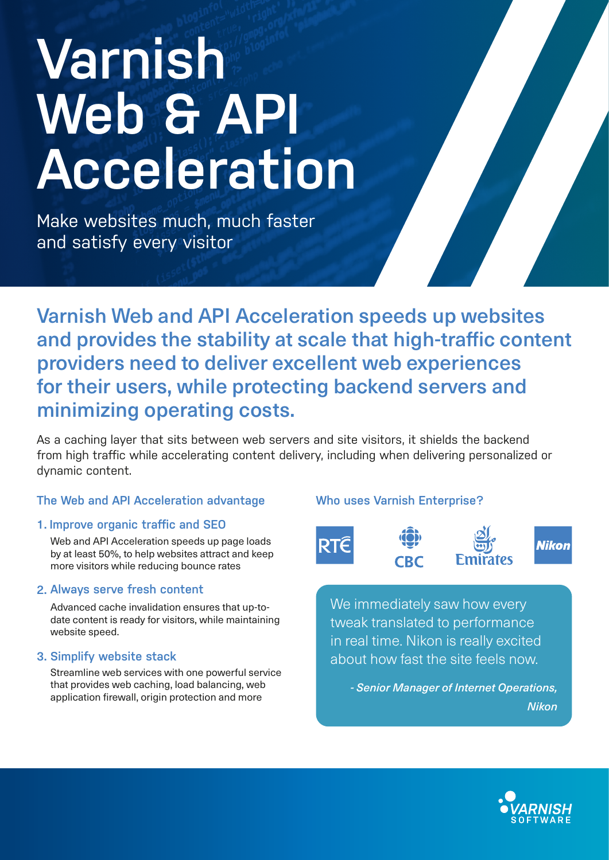# **Varnish**  Web & API **Acceleration**

Make websites much, much faster and satisfy every visitor

Varnish Web and API Acceleration speeds up websites and provides the stability at scale that high-traffic content providers need to deliver excellent web experiences for their users, while protecting backend servers and minimizing operating costs.

As a caching layer that sits between web servers and site visitors, it shields the backend from high traffic while accelerating content delivery, including when delivering personalized or dynamic content.

# **The Web and API Acceleration advantage**

# 1. **Improve organic traffic and SEO**

Web and API Acceleration speeds up page loads by at least 50%, to help websites attract and keep more visitors while reducing bounce rates

# 2. **Always serve fresh content**

Advanced cache invalidation ensures that up-todate content is ready for visitors, while maintaining website speed.

# 3. **Simplify website stack**

Streamline web services with one powerful service that provides web caching, load balancing, web application firewall, origin protection and more

# **Who uses Varnish Enterprise?**



We immediately saw how every tweak translated to performance in real time. Nikon is really excited about how fast the site feels now.

*- Senior Manager of Internet Operations, Nikon*



**Nikon**